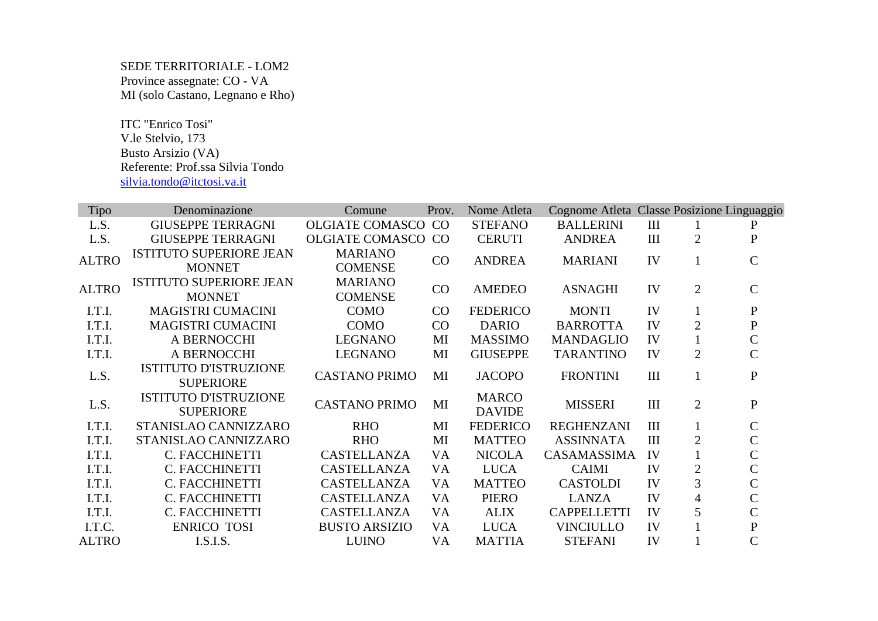## SEDE TERRITORIALE - LOM2 Province assegnate: CO - VA MI (solo Castano, Legnano e Rho)

 ITC "Enrico Tosi" V.le Stelvio, 173 Busto Arsizio (VA) Referente: Prof.ssa Silvia Tondo silvia.tondo@itctosi.va.it

| <b>Tipo</b>  | Denominazione                                    | Comune                           | Prov.     | Nome Atleta                   | Cognome Atleta Classe Posizione Linguaggio |                    |                |                |
|--------------|--------------------------------------------------|----------------------------------|-----------|-------------------------------|--------------------------------------------|--------------------|----------------|----------------|
| L.S.         | <b>GIUSEPPE TERRAGNI</b>                         | <b>OLGIATE COMASCO</b>           | CO        | <b>STEFANO</b>                | <b>BALLERINI</b>                           | $\mathop{\rm III}$ |                | ${\bf P}$      |
| L.S.         | <b>GIUSEPPE TERRAGNI</b>                         | <b>OLGIATE COMASCO CO</b>        |           | <b>CERUTI</b>                 | <b>ANDREA</b>                              | III                | $\overline{2}$ | ${\bf P}$      |
| <b>ALTRO</b> | <b>ISTITUTO SUPERIORE JEAN</b><br><b>MONNET</b>  | <b>MARIANO</b><br><b>COMENSE</b> | CO        | <b>ANDREA</b>                 | <b>MARIANI</b>                             | IV                 | $\mathbf{1}$   | $\mathcal{C}$  |
| <b>ALTRO</b> | <b>ISTITUTO SUPERIORE JEAN</b><br><b>MONNET</b>  | <b>MARIANO</b><br><b>COMENSE</b> | CO        | <b>AMEDEO</b>                 | <b>ASNAGHI</b>                             | IV                 | $\overline{2}$ | $\mathbf C$    |
| I.T.I.       | <b>MAGISTRI CUMACINI</b>                         | <b>COMO</b>                      | CO        | <b>FEDERICO</b>               | <b>MONTI</b>                               | IV                 | $\mathbf{1}$   | ${\bf P}$      |
| I.T.I.       | <b>MAGISTRI CUMACINI</b>                         | <b>COMO</b>                      | CO        | <b>DARIO</b>                  | <b>BARROTTA</b>                            | IV                 | $\overline{2}$ | ${\bf P}$      |
| I.T.I.       | A BERNOCCHI                                      | <b>LEGNANO</b>                   | MI        | <b>MASSIMO</b>                | <b>MANDAGLIO</b>                           | IV                 | $\mathbf{1}$   | $\mathsf{C}$   |
| I.T.I.       | A BERNOCCHI                                      | <b>LEGNANO</b>                   | MI        | <b>GIUSEPPE</b>               | <b>TARANTINO</b>                           | IV                 | $\overline{2}$ | $\overline{C}$ |
| L.S.         | <b>ISTITUTO D'ISTRUZIONE</b><br><b>SUPERIORE</b> | <b>CASTANO PRIMO</b>             | MI        | <b>JACOPO</b>                 | <b>FRONTINI</b>                            | III                | $\mathbf{1}$   | ${\bf P}$      |
| L.S.         | <b>ISTITUTO D'ISTRUZIONE</b><br><b>SUPERIORE</b> | <b>CASTANO PRIMO</b>             | MI        | <b>MARCO</b><br><b>DAVIDE</b> | <b>MISSERI</b>                             | III                | $\overline{2}$ | ${\bf P}$      |
| I.T.I.       | STANISLAO CANNIZZARO                             | <b>RHO</b>                       | MI        | <b>FEDERICO</b>               | <b>REGHENZANI</b>                          | III                | $\mathbf{1}$   | $\mathsf C$    |
| I.T.I.       | STANISLAO CANNIZZARO                             | <b>RHO</b>                       | MI        | <b>MATTEO</b>                 | <b>ASSINNATA</b>                           | III                | $\overline{2}$ | $\mathsf{C}$   |
| I.T.I.       | C. FACCHINETTI                                   | <b>CASTELLANZA</b>               | VA        | <b>NICOLA</b>                 | CASAMASSIMA                                | IV                 |                | $\overline{C}$ |
| I.T.I.       | C. FACCHINETTI                                   | <b>CASTELLANZA</b>               | VA        | <b>LUCA</b>                   | <b>CAIMI</b>                               | IV                 | 2              | $\overline{C}$ |
| I.T.I.       | C. FACCHINETTI                                   | CASTELLANZA                      | VA        | <b>MATTEO</b>                 | <b>CASTOLDI</b>                            | IV                 | 3              | $\overline{C}$ |
| I.T.I.       | C. FACCHINETTI                                   | <b>CASTELLANZA</b>               | <b>VA</b> | <b>PIERO</b>                  | <b>LANZA</b>                               | IV                 | $\overline{4}$ | $\overline{C}$ |
| I.T.I.       | C. FACCHINETTI                                   | CASTELLANZA                      | <b>VA</b> | <b>ALIX</b>                   | <b>CAPPELLETTI</b>                         | IV                 | 5              | $\overline{C}$ |
| I.T.C.       | <b>ENRICO TOSI</b>                               | <b>BUSTO ARSIZIO</b>             | VA        | <b>LUCA</b>                   | <b>VINCIULLO</b>                           | IV                 |                | ${\bf P}$      |
| <b>ALTRO</b> | I.S.I.S.                                         | <b>LUINO</b>                     | VA        | <b>MATTIA</b>                 | <b>STEFANI</b>                             | IV                 |                | $\overline{C}$ |